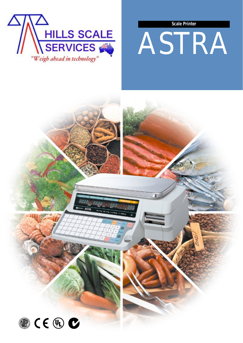



# ASTRA